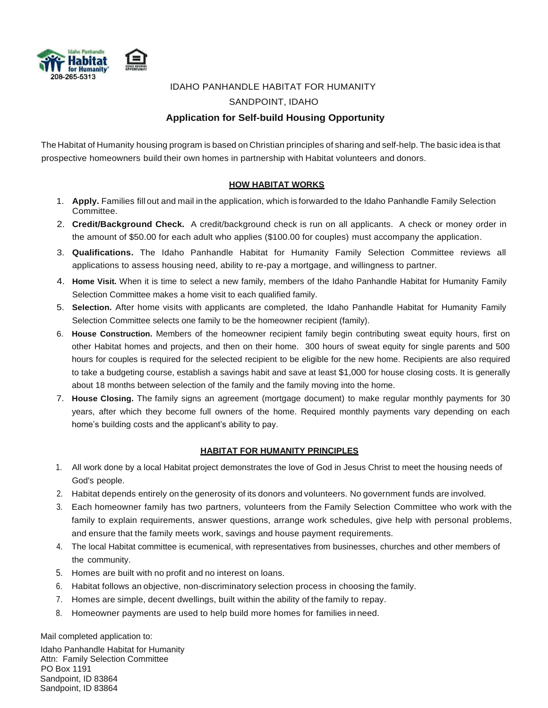

# IDAHO PANHANDLE HABITAT FOR HUMANITY SANDPOINT, IDAHO **Application for Self-build Housing Opportunity**

The Habitat of Humanity housing program is based on Christian principles of sharing and self-help. The basic idea is that prospective homeowners build their own homes in partnership with Habitat volunteers and donors.

#### **HOW HABITAT WORKS**

- 1. **Apply.** Families fill out and mail in the application, which is forwarded to the Idaho Panhandle Family Selection Committee.
- 2. **Credit/Background Check.** A credit/background check is run on all applicants. A check or money order in the amount of \$50.00 for each adult who applies (\$100.00 for couples) must accompany the application.
- 3. **Qualifications.** The Idaho Panhandle Habitat for Humanity Family Selection Committee reviews all applications to assess housing need, ability to re-pay a mortgage, and willingness to partner.
- 4. **Home Visit.** When it is time to select a new family, members of the Idaho Panhandle Habitat for Humanity Family Selection Committee makes a home visit to each qualified family.
- 5. **Selection.** After home visits with applicants are completed, the Idaho Panhandle Habitat for Humanity Family Selection Committee selects one family to be the homeowner recipient (family).
- 6. **House Construction.** Members of the homeowner recipient family begin contributing sweat equity hours, first on other Habitat homes and projects, and then on their home. 300 hours of sweat equity for single parents and 500 hours for couples is required for the selected recipient to be eligible for the new home. Recipients are also required to take a budgeting course, establish a savings habit and save at least \$1,000 for house closing costs. It is generally about 18 months between selection of the family and the family moving into the home.
- 7. **House Closing.** The family signs an agreement (mortgage document) to make regular monthly payments for 30 years, after which they become full owners of the home. Required monthly payments vary depending on each home's building costs and the applicant's ability to pay.

#### **HABITAT FOR HUMANITY PRINCIPLES**

- 1. All work done by a local Habitat project demonstrates the love of God in Jesus Christ to meet the housing needs of God's people.
- 2. Habitat depends entirely on the generosity of its donors and volunteers. No government funds are involved.
- 3. Each homeowner family has two partners, volunteers from the Family Selection Committee who work with the family to explain requirements, answer questions, arrange work schedules, give help with personal problems, and ensure that the family meets work, savings and house payment requirements.
- 4. The local Habitat committee is ecumenical, with representatives from businesses, churches and other members of the community.
- 5. Homes are built with no profit and no interest on loans.
- 6. Habitat follows an objective, non-discriminatory selection process in choosing the family.
- 7. Homes are simple, decent dwellings, built within the ability of the family to repay.
- 8. Homeowner payments are used to help build more homes for families in need.

Mail completed application to:

Idaho Panhandle Habitat for Humanity Attn: Family Selection Committee PO Box 1191 Sandpoint, ID 83864 Sandpoint, ID 83864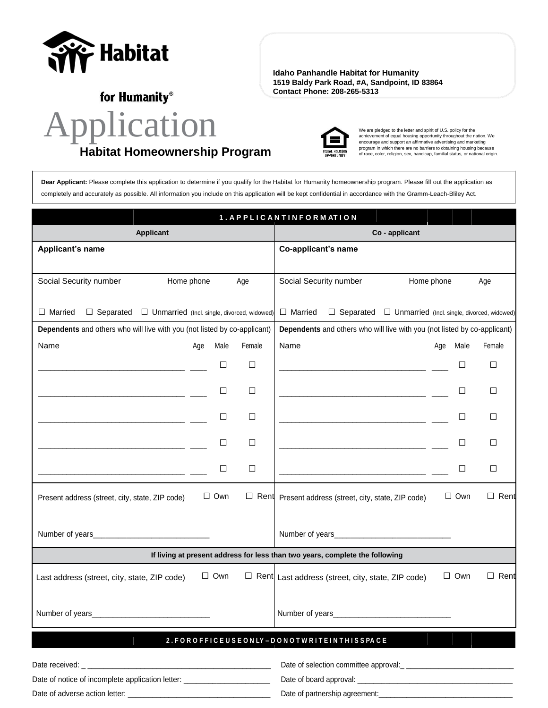

**Idaho Panhandle Habitat for Humanity 1519 Baldy Park Road, #A, Sandpoint, ID 83864 Contact Phone: 208-265-5313**

for Humanity®

# Application **Habitat Homeownership Program**



We are pledged to the letter and spirit of U.S. policy for the achievement of equal housing opportunity throughout the nation. We encourage and support an affirmative advertising and marketing program in which there are no barriers to obtaining housing because of race, color, religion, sex, handicap, familial status, or national origin.

**Dear Applicant:** Please complete this application to determine if you qualify for the Habitat for Humanity homeownership program. Please fill out the application as completely and accurately as possible. All information you include on this application will be kept confidential in accordance with the Gramm-Leach-Bliley Act.

|                                                                                                                                                  |            |                  | 1. APPLICANTINFORMATION                                                                                                                                            |            |            |             |
|--------------------------------------------------------------------------------------------------------------------------------------------------|------------|------------------|--------------------------------------------------------------------------------------------------------------------------------------------------------------------|------------|------------|-------------|
| <b>Applicant</b>                                                                                                                                 |            |                  | Co - applicant                                                                                                                                                     |            |            |             |
| Applicant's name                                                                                                                                 |            |                  | Co-applicant's name                                                                                                                                                |            |            |             |
|                                                                                                                                                  |            |                  |                                                                                                                                                                    |            |            |             |
| Social Security number                                                                                                                           | Home phone | Age              | Social Security number                                                                                                                                             | Home phone |            | Age         |
| $\Box$ Married                                                                                                                                   |            |                  |                                                                                                                                                                    |            |            |             |
| $\Box$ Separated $\Box$ Unmarried (Incl. single, divorced, widowed)<br>Dependents and others who will live with you (not listed by co-applicant) |            |                  | $\Box$ Married<br>$\Box$ Separated $\Box$ Unmarried (Incl. single, divorced, widowed)<br>Dependents and others who will live with you (not listed by co-applicant) |            |            |             |
| Name                                                                                                                                             | Age        | Female<br>Male   | Name                                                                                                                                                               | Age        | Male       | Female      |
|                                                                                                                                                  |            |                  |                                                                                                                                                                    |            |            |             |
|                                                                                                                                                  |            | $\Box$<br>$\Box$ | the control of the control of the control of the control of the control of                                                                                         |            | □          | □           |
|                                                                                                                                                  |            | $\Box$<br>□      |                                                                                                                                                                    |            | □          | $\Box$      |
|                                                                                                                                                  |            | $\Box$<br>$\Box$ |                                                                                                                                                                    |            | $\Box$     | □           |
|                                                                                                                                                  |            |                  |                                                                                                                                                                    |            |            |             |
|                                                                                                                                                  |            | $\Box$<br>$\Box$ |                                                                                                                                                                    |            | □          | □           |
| <u> 1989 - Johann Harry Harry Harry Harry Harry Harry Harry Harry Harry Harry Harry Harry Harry Harry Harry Harry</u>                            |            | $\Box$<br>$\Box$ | <u> 1989 - Johann Stein, mars an deus Amerikaansk kommunister (</u>                                                                                                |            | □          | □           |
|                                                                                                                                                  |            |                  |                                                                                                                                                                    |            |            |             |
| Present address (street, city, state, ZIP code)                                                                                                  | $\Box$ Own |                  | $\Box$ Rent Present address (street, city, state, ZIP code)                                                                                                        |            | $\Box$ Own | $\Box$ Rent |
|                                                                                                                                                  |            |                  |                                                                                                                                                                    |            |            |             |
|                                                                                                                                                  |            |                  |                                                                                                                                                                    |            |            |             |
|                                                                                                                                                  |            |                  | If living at present address for less than two years, complete the following                                                                                       |            |            |             |
| Last address (street, city, state, ZIP code)                                                                                                     | $\Box$ Own |                  | $\Box$ Rent Last address (street, city, state, ZIP code)                                                                                                           |            | $\Box$ Own | $\Box$ Rent |
|                                                                                                                                                  |            |                  |                                                                                                                                                                    |            |            |             |
|                                                                                                                                                  |            |                  | Number of years <b>Number</b> of years                                                                                                                             |            |            |             |
|                                                                                                                                                  |            |                  |                                                                                                                                                                    |            |            |             |
|                                                                                                                                                  |            |                  | 2. FOR OFFICE USE ON LY-DONOTWRITE IN THISSPACE                                                                                                                    |            |            |             |
|                                                                                                                                                  |            |                  |                                                                                                                                                                    |            |            |             |
| Date of notice of incomplete application letter: _______________________________                                                                 |            |                  |                                                                                                                                                                    |            |            |             |
|                                                                                                                                                  |            |                  |                                                                                                                                                                    |            |            |             |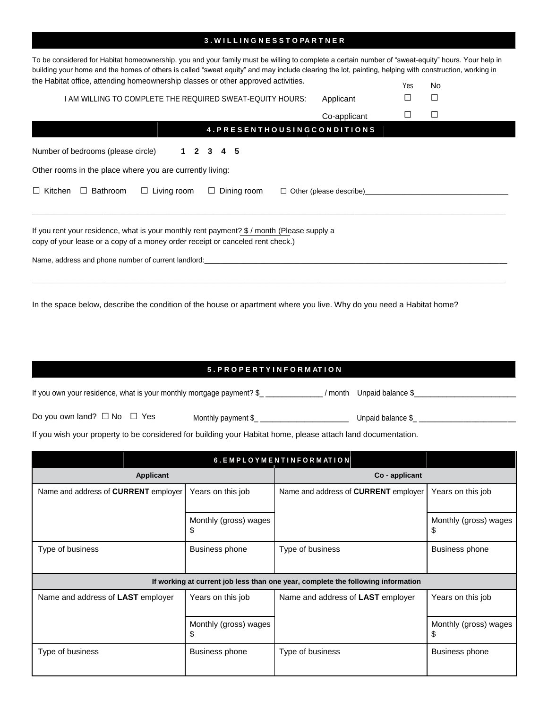#### **3 . W I L L I N G N E S S T O PA R T N E R**

| To be considered for Habitat homeownership, you and your family must be willing to complete a certain number of "sweat-equity" hours. Your help in<br>building your home and the homes of others is called "sweat equity" and may include clearing the lot, painting, helping with construction, working in |              |     |        |  |  |  |
|-------------------------------------------------------------------------------------------------------------------------------------------------------------------------------------------------------------------------------------------------------------------------------------------------------------|--------------|-----|--------|--|--|--|
| the Habitat office, attending homeownership classes or other approved activities.                                                                                                                                                                                                                           |              | Yes | No     |  |  |  |
| I AM WILLING TO COMPLETE THE REQUIRED SWEAT-EQUITY HOURS:                                                                                                                                                                                                                                                   | Applicant    | П   | $\Box$ |  |  |  |
|                                                                                                                                                                                                                                                                                                             | Co-applicant |     | $\Box$ |  |  |  |
| 4. PRESENTHOUSINGCONDITIONS                                                                                                                                                                                                                                                                                 |              |     |        |  |  |  |
| Number of bedrooms (please circle)<br>2 3 4 5<br>1.                                                                                                                                                                                                                                                         |              |     |        |  |  |  |
| Other rooms in the place where you are currently living:                                                                                                                                                                                                                                                    |              |     |        |  |  |  |
| $\Box$ Bathroom<br>$\Box$ Living room<br>$\Box$ Kitchen<br>$\Box$ Dining room<br>$\Box$ Other (please describe)                                                                                                                                                                                             |              |     |        |  |  |  |
| If you rent your residence, what is your monthly rent payment? \$ / month (Please supply a<br>copy of your lease or a copy of a money order receipt or canceled rent check.)<br>Name, address and phone number of current landlord:                                                                         |              |     |        |  |  |  |

In the space below, describe the condition of the house or apartment where you live. Why do you need a Habitat home?

# **5 . P R O P E R T Y I N F O R M AT I O N**

If you own your residence, what is your monthly mortgage payment?  $\frac{1}{2}$  \_\_\_\_\_\_\_\_\_\_\_\_/ month Unpaid balance  $\frac{1}{2}$ 

Do you own land? **□** No **□** Yes Monthly payment \$\_ \_\_\_\_\_\_\_\_\_\_\_\_\_\_\_\_\_\_\_\_\_\_ Unpaid balance \$\_ \_\_\_\_\_\_\_\_\_\_\_\_\_\_\_\_\_\_\_\_\_\_\_\_

If you wish your property to be considered for building your Habitat home, please attach land documentation.

| 6. EMPLOYMENTINFORMATION             |                             |                                                                                  |                             |  |  |
|--------------------------------------|-----------------------------|----------------------------------------------------------------------------------|-----------------------------|--|--|
| <b>Applicant</b>                     |                             | Co - applicant                                                                   |                             |  |  |
| Name and address of CURRENT employer | Years on this job           | Name and address of <b>CURRENT</b> employer                                      | Years on this job           |  |  |
|                                      | Monthly (gross) wages<br>\$ |                                                                                  | Monthly (gross) wages<br>\$ |  |  |
| Type of business                     | Business phone              | Type of business                                                                 | <b>Business phone</b>       |  |  |
|                                      |                             | If working at current job less than one year, complete the following information |                             |  |  |
| Name and address of LAST employer    | Years on this job           | Name and address of <b>LAST</b> employer                                         | Years on this job           |  |  |
|                                      | Monthly (gross) wages<br>\$ |                                                                                  | Monthly (gross) wages<br>\$ |  |  |
| Type of business                     | Business phone              | Type of business                                                                 | <b>Business phone</b>       |  |  |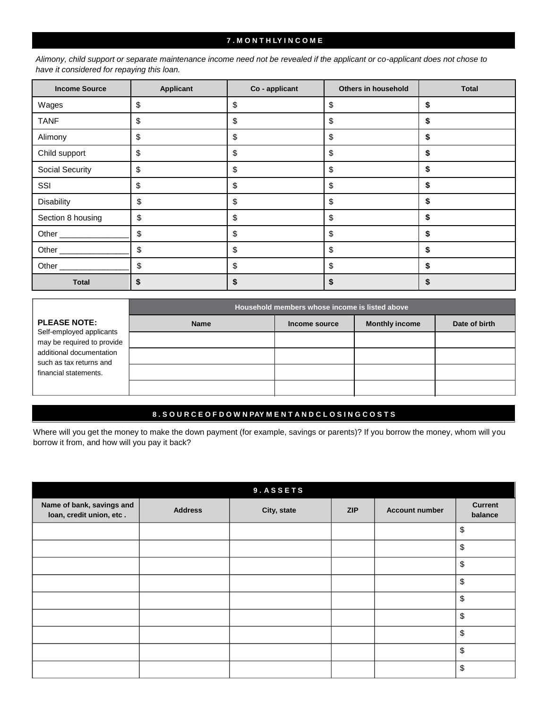#### **7 . M O N T H LY I N C O M E**

*Alimony, child support or separate maintenance income need not be revealed if the applicant or co-applicant does not chose to have it considered for repaying this loan.*

| <b>Income Source</b> | <b>Applicant</b> | Co - applicant | Others in household | <b>Total</b> |
|----------------------|------------------|----------------|---------------------|--------------|
| Wages                | \$               | \$             | \$                  | \$           |
| <b>TANF</b>          | \$               | \$             | \$                  |              |
| Alimony              | \$               | \$             | \$                  | S            |
| Child support        | \$               | \$             | \$                  | S            |
| Social Security      | \$               | \$             | \$                  | \$           |
| SSI                  | \$               | \$             | \$                  | \$           |
| Disability           | \$               | \$             | \$                  | \$           |
| Section 8 housing    | \$               | \$             | \$                  | S            |
| Other _____________  | \$               | \$             | \$                  | S            |
| Other                | \$               | \$             | \$                  | S            |
|                      | \$               | \$             | \$                  | S            |
| <b>Total</b>         | \$               | \$             | \$                  |              |

|                                                        | Household members whose income is listed above |               |                       |               |  |  |  |
|--------------------------------------------------------|------------------------------------------------|---------------|-----------------------|---------------|--|--|--|
| <b>PLEASE NOTE:</b>                                    | <b>Name</b>                                    | Income source | <b>Monthly income</b> | Date of birth |  |  |  |
| Self-employed applicants<br>may be required to provide |                                                |               |                       |               |  |  |  |
| additional documentation<br>such as tax returns and    |                                                |               |                       |               |  |  |  |
| financial statements.                                  |                                                |               |                       |               |  |  |  |
|                                                        |                                                |               |                       |               |  |  |  |

# **8 . S O U R C E O F D O W N PAY M E N T A N D C L O S I N G C O S T S**

Where will you get the money to make the down payment (for example, savings or parents)? If you borrow the money, whom will you borrow it from, and how will you pay it back?

|                                                       |                | 9. ASSETS   |            |                       |                           |
|-------------------------------------------------------|----------------|-------------|------------|-----------------------|---------------------------|
| Name of bank, savings and<br>loan, credit union, etc. | <b>Address</b> | City, state | <b>ZIP</b> | <b>Account number</b> | <b>Current</b><br>balance |
|                                                       |                |             |            |                       | \$                        |
|                                                       |                |             |            |                       | \$                        |
|                                                       |                |             |            |                       | \$                        |
|                                                       |                |             |            |                       | \$                        |
|                                                       |                |             |            |                       | \$                        |
|                                                       |                |             |            |                       | \$                        |
|                                                       |                |             |            |                       | \$                        |
|                                                       |                |             |            |                       | \$                        |
|                                                       |                |             |            |                       | \$                        |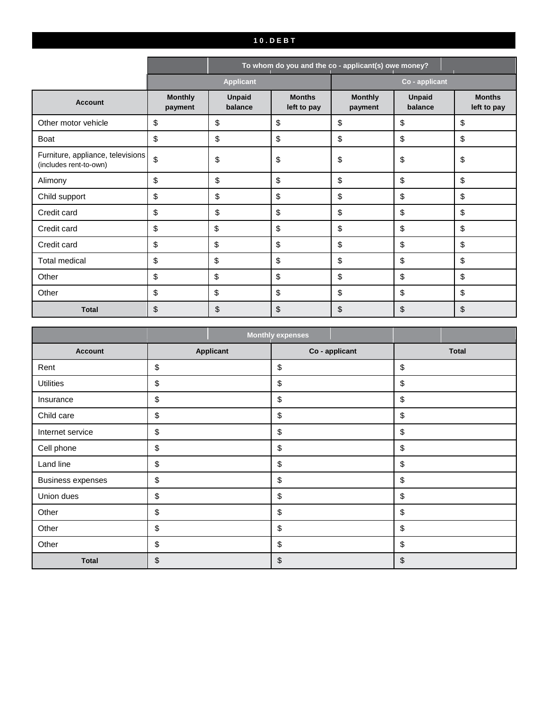# **1 0 . D E B T**

|                                                             |                           | To whom do you and the co - applicant(s) owe money? |                              |                           |                          |                              |
|-------------------------------------------------------------|---------------------------|-----------------------------------------------------|------------------------------|---------------------------|--------------------------|------------------------------|
|                                                             |                           | <b>Applicant</b>                                    |                              |                           | Co - applicant           |                              |
| <b>Account</b>                                              | <b>Monthly</b><br>payment | <b>Unpaid</b><br>balance                            | <b>Months</b><br>left to pay | <b>Monthly</b><br>payment | <b>Unpaid</b><br>balance | <b>Months</b><br>left to pay |
| Other motor vehicle                                         | \$                        | \$                                                  | \$                           | \$                        | \$                       | \$                           |
| Boat                                                        | \$                        | \$                                                  | \$                           | \$                        | \$                       | \$                           |
| Furniture, appliance, televisions<br>(includes rent-to-own) | $\mathfrak{S}$            | \$                                                  | \$                           | \$                        | \$                       | \$                           |
| Alimony                                                     | \$                        | \$                                                  | \$                           | \$                        | \$                       | \$                           |
| Child support                                               | \$                        | \$                                                  | \$                           | \$                        | \$                       | \$                           |
| Credit card                                                 | \$                        | \$                                                  | \$                           | \$                        | \$                       | \$                           |
| Credit card                                                 | \$                        | $\boldsymbol{\mathsf{S}}$                           | \$                           | \$                        | \$                       | \$                           |
| Credit card                                                 | \$                        | $\boldsymbol{\mathsf{S}}$                           | \$                           | \$                        | \$                       | \$                           |
| <b>Total medical</b>                                        | \$                        | $\boldsymbol{\mathsf{S}}$                           | \$                           | \$                        | \$                       | \$                           |
| Other                                                       | \$                        | $\boldsymbol{\mathsf{S}}$                           | \$                           | \$                        | \$                       | \$                           |
| Other                                                       | \$                        | $\boldsymbol{\mathsf{S}}$                           | \$                           | \$                        | \$                       | \$                           |
| <b>Total</b>                                                | \$                        | \$                                                  | \$                           | \$                        | \$                       | \$                           |

|                          |                  | <b>Monthly expenses</b> |                |              |
|--------------------------|------------------|-------------------------|----------------|--------------|
| <b>Account</b>           | <b>Applicant</b> |                         | Co - applicant | <b>Total</b> |
| Rent                     | \$               | \$                      |                | \$           |
| <b>Utilities</b>         | \$               | \$                      |                | \$           |
| Insurance                | \$               | \$                      |                | \$           |
| Child care               | \$               | \$                      |                | \$           |
| Internet service         | \$               | \$                      |                | \$           |
| Cell phone               | \$               | \$                      |                | \$           |
| Land line                | \$               | \$                      |                | \$           |
| <b>Business expenses</b> | \$               | \$                      |                | \$           |
| Union dues               | \$               | \$                      |                | \$           |
| Other                    | \$               | \$                      |                | \$           |
| Other                    | \$               | \$                      |                | \$           |
| Other                    | \$               | \$                      |                | \$           |
| <b>Total</b>             | \$               | \$                      |                | \$           |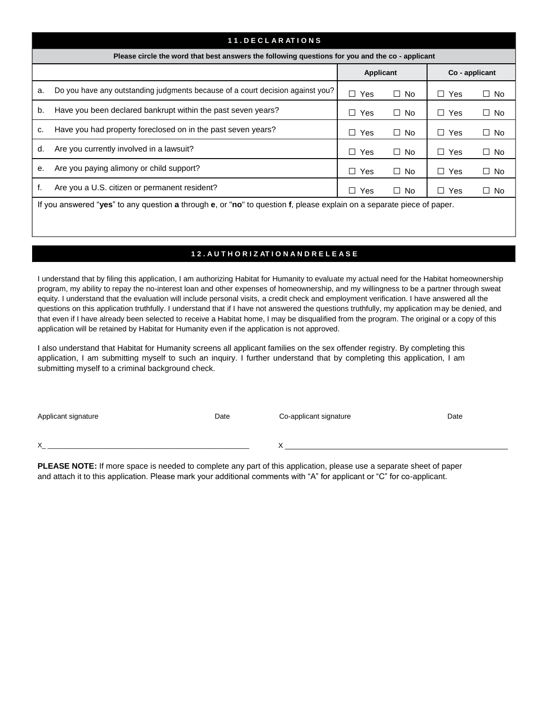|    | 11. DECLARATIONS                                                                                                       |            |           |                |           |  |
|----|------------------------------------------------------------------------------------------------------------------------|------------|-----------|----------------|-----------|--|
|    | Please circle the word that best answers the following questions for you and the co - applicant                        |            |           |                |           |  |
|    | Applicant<br>Co - applicant                                                                                            |            |           |                |           |  |
| a. | Do you have any outstanding judgments because of a court decision against you?                                         | $\Box$ Yes | $\Box$ No | Yes<br>$\perp$ | $\Box$ No |  |
| b. | Have you been declared bankrupt within the past seven years?                                                           | $\Box$ Yes | $\Box$ No | Yes<br>$\perp$ | $\Box$ No |  |
| c. | Have you had property foreclosed on in the past seven years?                                                           | $\Box$ Yes | $\Box$ No | Yes<br>$\perp$ | $\Box$ No |  |
| d. | Are you currently involved in a lawsuit?                                                                               | $\Box$ Yes | $\Box$ No | Yes<br>$\perp$ | $\Box$ No |  |
| е. | Are you paying alimony or child support?                                                                               | $\Box$ Yes | $\Box$ No | Yes<br>$\perp$ | $\Box$ No |  |
| f. | Are you a U.S. citizen or permanent resident?                                                                          | $\Box$ Yes | $\Box$ No | Yes<br>$\perp$ | $\Box$ No |  |
|    | If you answered "yes" to any question a through e, or "no" to question f, please explain on a separate piece of paper. |            |           |                |           |  |

### **1 2 . A U T H O R I Z AT I O N A N D R E L E A S E**

I understand that by filing this application, I am authorizing Habitat for Humanity to evaluate my actual need for the Habitat homeownership program, my ability to repay the no-interest loan and other expenses of homeownership, and my willingness to be a partner through sweat equity. I understand that the evaluation will include personal visits, a credit check and employment verification. I have answered all the questions on this application truthfully. I understand that if I have not answered the questions truthfully, my application may be denied, and that even if I have already been selected to receive a Habitat home, I may be disqualified from the program. The original or a copy of this application will be retained by Habitat for Humanity even if the application is not approved.

I also understand that Habitat for Humanity screens all applicant families on the sex offender registry. By completing this application, I am submitting myself to such an inquiry. I further understand that by completing this application, I am submitting myself to a criminal background check.

| Applicant signature | Date | Co-applicant signature | Date |
|---------------------|------|------------------------|------|
|                     |      |                        |      |
|                     |      |                        |      |
| $\checkmark$        |      |                        |      |
|                     |      |                        |      |

**PLEASE NOTE:** If more space is needed to complete any part of this application, please use a separate sheet of paper and attach it to this application. Please mark your additional comments with "A" for applicant or "C" for co-applicant.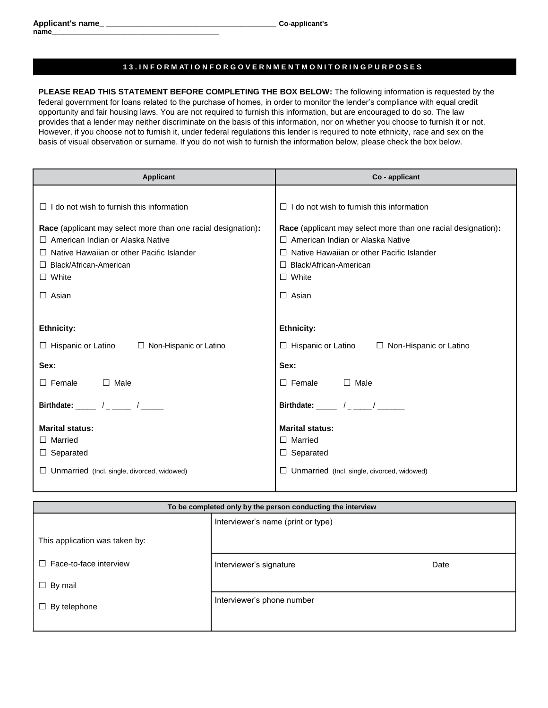#### **1 3 . I N F O R M AT I O N F O R G O V E R N M E N T M O N I T O R I N G P U R P O S E S**

**PLEASE READ THIS STATEMENT BEFORE COMPLETING THE BOX BELOW:** The following information is requested by the federal government for loans related to the purchase of homes, in order to monitor the lender's compliance with equal credit opportunity and fair housing laws. You are not required to furnish this information, but are encouraged to do so. The law provides that a lender may neither discriminate on the basis of this information, nor on whether you choose to furnish it or not. However, if you choose not to furnish it, under federal regulations this lender is required to note ethnicity, race and sex on the basis of visual observation or surname. If you do not wish to furnish the information below, please check the box below.

| <b>Applicant</b>                                                      | Co - applicant                                                |
|-----------------------------------------------------------------------|---------------------------------------------------------------|
|                                                                       |                                                               |
| $\Box$ I do not wish to furnish this information                      | $\Box$ I do not wish to furnish this information              |
| Race (applicant may select more than one racial designation):         | Race (applicant may select more than one racial designation): |
| $\Box$ American Indian or Alaska Native                               | $\Box$ American Indian or Alaska Native                       |
| Native Hawaiian or other Pacific Islander<br>П                        | Native Hawaiian or other Pacific Islander                     |
| $\Box$ Black/African-American                                         | $\Box$ Black/African-American                                 |
| $\Box$ White                                                          | $\Box$ White                                                  |
| $\Box$ Asian                                                          | $\Box$ Asian                                                  |
|                                                                       |                                                               |
| <b>Ethnicity:</b>                                                     | <b>Ethnicity:</b>                                             |
| $\Box$ Hispanic or Latino $\Box$ Non-Hispanic or Latino               | $\Box$ Hispanic or Latino $\Box$ Non-Hispanic or Latino       |
| Sex:                                                                  | Sex:                                                          |
| $\Box$ Female<br>$\Box$ Male                                          | $\square$ Male<br>$\Box$ Female                               |
| Birthdate: $\frac{1}{\sqrt{1-\frac{1}{2}}}\left(1-\frac{1}{2}\right)$ | Birthdate: _____ /_ ___/ ______                               |
| <b>Marital status:</b>                                                | <b>Marital status:</b>                                        |
| $\Box$ Married                                                        | $\Box$ Married                                                |
| $\Box$ Separated                                                      | $\Box$ Separated                                              |
| $\Box$ Unmarried (Incl. single, divorced, widowed)                    | $\Box$ Unmarried (Incl. single, divorced, widowed)            |

| To be completed only by the person conducting the interview |                                    |      |  |
|-------------------------------------------------------------|------------------------------------|------|--|
|                                                             | Interviewer's name (print or type) |      |  |
| This application was taken by:                              |                                    |      |  |
| Face-to-face interview<br>$\perp$                           | Interviewer's signature            | Date |  |
| By mail<br>⊔                                                |                                    |      |  |
| By telephone                                                | Interviewer's phone number         |      |  |
|                                                             |                                    |      |  |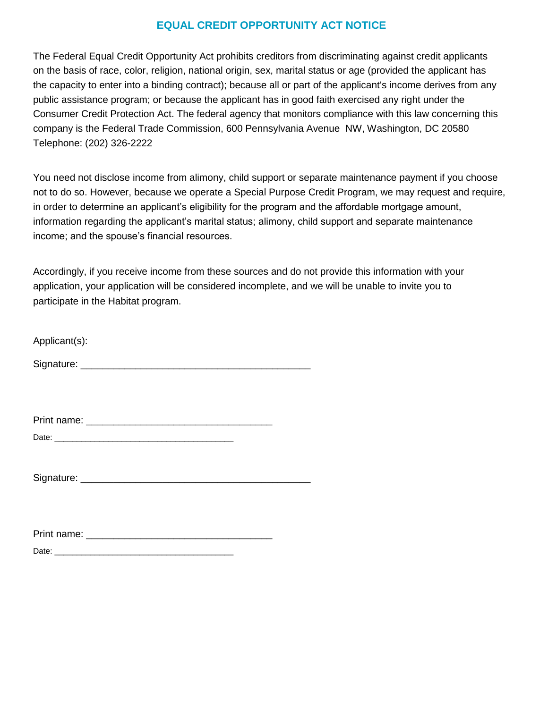# **EQUAL CREDIT OPPORTUNITY ACT NOTICE**

The Federal Equal Credit Opportunity Act prohibits creditors from discriminating against credit applicants on the basis of race, color, religion, national origin, sex, marital status or age (provided the applicant has the capacity to enter into a binding contract); because all or part of the applicant's income derives from any public assistance program; or because the applicant has in good faith exercised any right under the Consumer Credit Protection Act. The federal agency that monitors compliance with this law concerning this company is the Federal Trade Commission, 600 Pennsylvania Avenue NW, Washington, DC 20580 Telephone: (202) 326-2222

You need not disclose income from alimony, child support or separate maintenance payment if you choose not to do so. However, because we operate a Special Purpose Credit Program, we may request and require, in order to determine an applicant's eligibility for the program and the affordable mortgage amount, information regarding the applicant's marital status; alimony, child support and separate maintenance income; and the spouse's financial resources.

Accordingly, if you receive income from these sources and do not provide this information with your application, your application will be considered incomplete, and we will be unable to invite you to participate in the Habitat program.

| Applicant(s): |  |  |  |
|---------------|--|--|--|
| Signature:    |  |  |  |

| Print name: |  |  |  |
|-------------|--|--|--|
|             |  |  |  |

| $D - L$<br>. |  |  |  |  |
|--------------|--|--|--|--|
|              |  |  |  |  |

Signature: \_\_\_\_\_\_\_\_\_\_\_\_\_\_\_\_\_\_\_\_\_\_\_\_\_\_\_\_\_\_\_\_\_\_\_\_\_\_\_\_\_\_

| Print name: |  |  |  |  |
|-------------|--|--|--|--|
| Date:       |  |  |  |  |